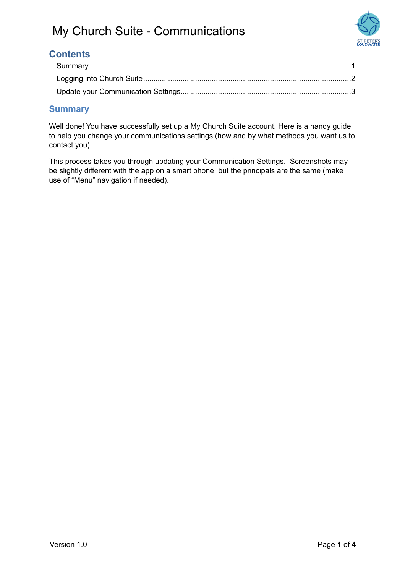

### **Contents**

### <span id="page-0-0"></span>**Summary**

Well done! You have successfully set up a My Church Suite account. Here is a handy guide to help you change your communications settings (how and by what methods you want us to contact you).

This process takes you through updating your Communication Settings. Screenshots may be slightly different with the app on a smart phone, but the principals are the same (make use of "Menu" navigation if needed).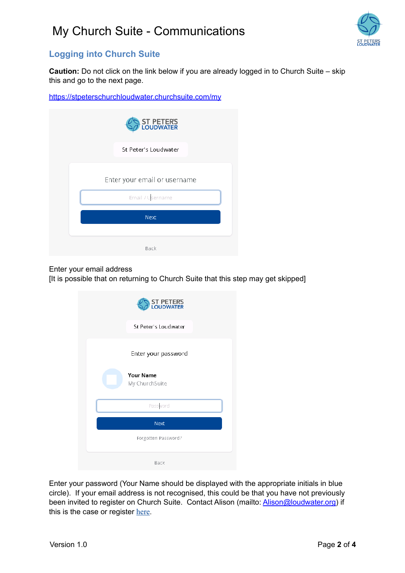

### <span id="page-1-0"></span>**Logging into Church Suite**

**Caution:** Do not click on the link below if you are already logged in to Church Suite – skip this and go to the next page.

<https://stpeterschurchloudwater.churchsuite.com/my>

| <b>ST PETERS</b><br>LOUDWATER |
|-------------------------------|
| St Peter's Loudwater          |
| Enter your email or username  |
| Email / Username              |
| Next                          |
| Back                          |

Enter your email address

[It is possible that on returning to Church Suite that this step may get skipped]

| ST PETER'S<br>LOUDWATER            |
|------------------------------------|
| St Peter's Loudwater               |
| Enter your password                |
| <b>Your Name</b><br>My ChurchSuite |
| Password                           |
| Next                               |
| Forgotten Password?                |
| Back                               |

Enter your password (Your Name should be displayed with the appropriate initials in blue circle). If your email address is not recognised, this could be that you have not previously been invited to register on Church Suite. Contact Alison (mailto: [Alison@loudwater.org](mailto:Alison@loudwater.org)) if this is the case or register [here](https://stpetersloudwater.org/Articles/624893/CHURCH_MANAGEMENT_SYSTEM.aspx).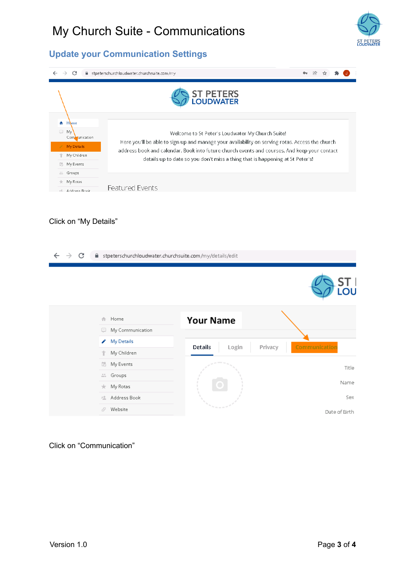

## <span id="page-2-0"></span>**Update your Communication Settings**

| fil stpeterschurchloudwater.churchsuite.com/my<br>C<br>$\rightarrow$                             |                                                                                                                                                                                                                                                                                                                                      |  |
|--------------------------------------------------------------------------------------------------|--------------------------------------------------------------------------------------------------------------------------------------------------------------------------------------------------------------------------------------------------------------------------------------------------------------------------------------|--|
|                                                                                                  | <b>ST PETERS</b><br><b>LOUDWATER</b>                                                                                                                                                                                                                                                                                                 |  |
| A Home<br>$\boxed{\cdots}$<br>My<br>Communication<br>My Details<br>My Children<br>My Events<br>昂 | Welcome to St Peter's Loudwater My Church Suite!<br>Here you'll be able to sign up and manage your availability on serving rotas. Access the church<br>address book and calendar. Book into future church events and courses. And keep your contact<br>details up to date so you don't miss a thing that is happening at St Peter's! |  |
| 品店<br>Groups<br>My Rotas<br>*<br>Address Rook<br>5章                                              | <b>Featured Events</b>                                                                                                                                                                                                                                                                                                               |  |

### Click on "My Details"

| C<br>$\rightarrow$ | fil stpeterschurchloudwater.churchsuite.com/my/details/edit |                             |               |
|--------------------|-------------------------------------------------------------|-----------------------------|---------------|
|                    |                                                             |                             | LOU           |
|                    | Home<br>企<br>My Communication<br>لتنا                       | <b>Your Name</b>            |               |
|                    | <b>My Details</b><br>v                                      |                             |               |
|                    | My Children<br>个                                            | Details<br>Login<br>Privacy | Communication |
|                    | 局<br>My Events                                              |                             | Title         |
|                    | Groups<br>÷.                                                |                             |               |
|                    | My Rotas<br><del>€.</del>                                   |                             | Name          |
|                    | Address Book<br>栏                                           |                             | Sex           |
|                    | Website<br>F                                                | $\sim$ 10 $-$ 10            | Date of Birth |

#### Click on "Communication"